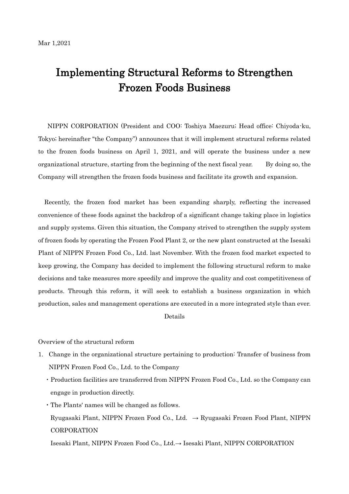## Implementing Structural Reforms to Strengthen Frozen Foods Business

NIPPN CORPORATION (President and COO: Toshiya Maezuru; Head office: Chiyoda-ku, Tokyo; hereinafter "the Company") announces that it will implement structural reforms related to the frozen foods business on April 1, 2021, and will operate the business under a new organizational structure, starting from the beginning of the next fiscal year. By doing so, the Company will strengthen the frozen foods business and facilitate its growth and expansion.

Recently, the frozen food market has been expanding sharply, reflecting the increased convenience of these foods against the backdrop of a significant change taking place in logistics and supply systems. Given this situation, the Company strived to strengthen the supply system of frozen foods by operating the Frozen Food Plant 2, or the new plant constructed at the Isesaki Plant of NIPPN Frozen Food Co., Ltd. last November. With the frozen food market expected to keep growing, the Company has decided to implement the following structural reform to make decisions and take measures more speedily and improve the quality and cost competitiveness of products. Through this reform, it will seek to establish a business organization in which production, sales and management operations are executed in a more integrated style than ever.

## Details

Overview of the structural reform

- 1. Change in the organizational structure pertaining to production: Transfer of business from NIPPN Frozen Food Co., Ltd. to the Company
	- ・Production facilities are transferred from NIPPN Frozen Food Co., Ltd. so the Company can engage in production directly.
	- ・The Plants' names will be changed as follows. Ryugasaki Plant, NIPPN Frozen Food Co., Ltd. → Ryugasaki Frozen Food Plant, NIPPN CORPORATION

Isesaki Plant, NIPPN Frozen Food Co., Ltd.→ Isesaki Plant, NIPPN CORPORATION